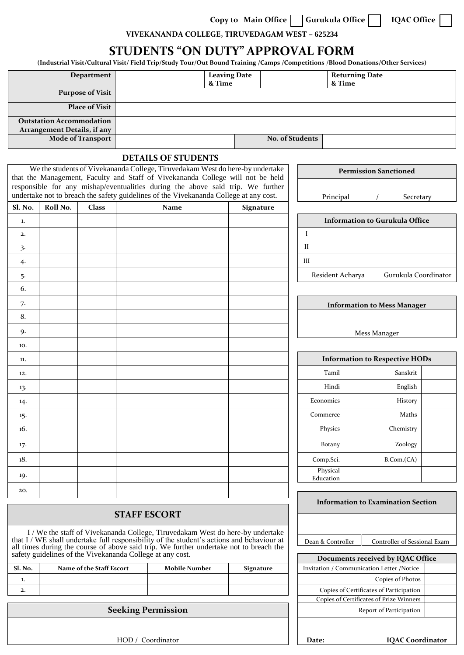Copy to Main Office **Gurukula Office Gurukula Office** 1QAC Office

 $\blacksquare$ 

**VIVEKANANDA COLLEGE, TIRUVEDAGAM WEST – 625234**

## **STUDENTS "ON DUTY" APPROVAL FORM**

**(Industrial Visit/Cultural Visit/ Field Trip/Study Tour/Out Bound Training /Camps /Competitions /Blood Donations/Other Services)**

| Department                                                                                                                                                                                                                                    |          |                          |                                                                                                                                                                          | <b>Leaving Date</b><br>& Time |                                   |  |                                         | <b>Returning Date</b><br>& Time                                                |                                           |                         |                      |  |  |  |  |
|-----------------------------------------------------------------------------------------------------------------------------------------------------------------------------------------------------------------------------------------------|----------|--------------------------|--------------------------------------------------------------------------------------------------------------------------------------------------------------------------|-------------------------------|-----------------------------------|--|-----------------------------------------|--------------------------------------------------------------------------------|-------------------------------------------|-------------------------|----------------------|--|--|--|--|
| <b>Purpose of Visit</b>                                                                                                                                                                                                                       |          |                          |                                                                                                                                                                          |                               |                                   |  |                                         |                                                                                |                                           |                         |                      |  |  |  |  |
| <b>Place of Visit</b>                                                                                                                                                                                                                         |          |                          |                                                                                                                                                                          |                               |                                   |  |                                         |                                                                                |                                           |                         |                      |  |  |  |  |
| <b>Outstation Accommodation</b>                                                                                                                                                                                                               |          |                          |                                                                                                                                                                          |                               |                                   |  |                                         |                                                                                |                                           |                         |                      |  |  |  |  |
| <b>Arrangement Details, if any</b><br><b>Mode of Transport</b>                                                                                                                                                                                |          |                          |                                                                                                                                                                          |                               |                                   |  |                                         | No. of Students                                                                |                                           |                         |                      |  |  |  |  |
| <b>DETAILS OF STUDENTS</b>                                                                                                                                                                                                                    |          |                          |                                                                                                                                                                          |                               |                                   |  |                                         |                                                                                |                                           |                         |                      |  |  |  |  |
| We the students of Vivekananda College, Tiruvedakam West do here-by undertake                                                                                                                                                                 |          |                          |                                                                                                                                                                          |                               |                                   |  |                                         |                                                                                |                                           |                         |                      |  |  |  |  |
|                                                                                                                                                                                                                                               |          |                          | that the Management, Faculty and Staff of Vivekananda College will not be held                                                                                           |                               |                                   |  |                                         | <b>Permission Sanctioned</b>                                                   |                                           |                         |                      |  |  |  |  |
|                                                                                                                                                                                                                                               |          |                          | responsible for any mishap/eventualities during the above said trip. We further<br>undertake not to breach the safety guidelines of the Vivekananda College at any cost. |                               |                                   |  |                                         | Principal<br>Secretary                                                         |                                           |                         |                      |  |  |  |  |
| Sl. No.                                                                                                                                                                                                                                       | Roll No. | <b>Class</b>             | Name<br><b>Signature</b>                                                                                                                                                 |                               |                                   |  |                                         |                                                                                |                                           |                         |                      |  |  |  |  |
| 1.                                                                                                                                                                                                                                            |          |                          |                                                                                                                                                                          |                               |                                   |  |                                         |                                                                                | <b>Information to Gurukula Office</b>     |                         |                      |  |  |  |  |
| 2.                                                                                                                                                                                                                                            |          |                          |                                                                                                                                                                          |                               |                                   |  |                                         | L                                                                              |                                           |                         |                      |  |  |  |  |
| 3.                                                                                                                                                                                                                                            |          |                          |                                                                                                                                                                          |                               |                                   |  |                                         | П                                                                              |                                           |                         |                      |  |  |  |  |
| 4.                                                                                                                                                                                                                                            |          |                          |                                                                                                                                                                          |                               |                                   |  |                                         | III                                                                            |                                           |                         |                      |  |  |  |  |
| 5.                                                                                                                                                                                                                                            |          |                          |                                                                                                                                                                          |                               |                                   |  |                                         |                                                                                | Resident Acharya                          |                         | Gurukula Coordinator |  |  |  |  |
| 6.                                                                                                                                                                                                                                            |          |                          |                                                                                                                                                                          |                               |                                   |  |                                         |                                                                                |                                           |                         |                      |  |  |  |  |
| 7.                                                                                                                                                                                                                                            |          |                          |                                                                                                                                                                          |                               |                                   |  |                                         | <b>Information to Mess Manager</b>                                             |                                           |                         |                      |  |  |  |  |
| 8.                                                                                                                                                                                                                                            |          |                          |                                                                                                                                                                          |                               |                                   |  |                                         |                                                                                |                                           |                         |                      |  |  |  |  |
| 9.                                                                                                                                                                                                                                            |          |                          |                                                                                                                                                                          |                               |                                   |  |                                         | Mess Manager                                                                   |                                           |                         |                      |  |  |  |  |
| 10.                                                                                                                                                                                                                                           |          |                          |                                                                                                                                                                          |                               |                                   |  |                                         |                                                                                |                                           |                         |                      |  |  |  |  |
| 11.                                                                                                                                                                                                                                           |          |                          |                                                                                                                                                                          |                               |                                   |  |                                         | <b>Information to Respective HODs</b>                                          |                                           |                         |                      |  |  |  |  |
| 12.                                                                                                                                                                                                                                           |          |                          |                                                                                                                                                                          |                               |                                   |  |                                         |                                                                                | Tamil                                     |                         | Sanskrit             |  |  |  |  |
| 13.                                                                                                                                                                                                                                           |          |                          |                                                                                                                                                                          |                               |                                   |  |                                         |                                                                                | Hindi                                     |                         | English              |  |  |  |  |
| 14.                                                                                                                                                                                                                                           |          |                          |                                                                                                                                                                          |                               |                                   |  |                                         |                                                                                | Economics                                 |                         | History              |  |  |  |  |
| 15.                                                                                                                                                                                                                                           |          |                          |                                                                                                                                                                          |                               |                                   |  |                                         |                                                                                | Commerce                                  |                         | Maths                |  |  |  |  |
| 16.                                                                                                                                                                                                                                           |          |                          |                                                                                                                                                                          |                               |                                   |  |                                         |                                                                                | Physics                                   |                         | Chemistry            |  |  |  |  |
| 17.                                                                                                                                                                                                                                           |          |                          |                                                                                                                                                                          |                               |                                   |  |                                         |                                                                                | <b>Botany</b>                             |                         | Zoology              |  |  |  |  |
| 18.                                                                                                                                                                                                                                           |          |                          |                                                                                                                                                                          |                               |                                   |  |                                         |                                                                                | Comp.Sci.                                 |                         | B. Com. (CA)         |  |  |  |  |
| 19.                                                                                                                                                                                                                                           |          |                          |                                                                                                                                                                          |                               |                                   |  |                                         |                                                                                | Physical<br>Education                     |                         |                      |  |  |  |  |
| 20.                                                                                                                                                                                                                                           |          |                          |                                                                                                                                                                          |                               |                                   |  |                                         |                                                                                |                                           |                         |                      |  |  |  |  |
|                                                                                                                                                                                                                                               |          |                          |                                                                                                                                                                          |                               |                                   |  |                                         |                                                                                | <b>Information to Examination Section</b> |                         |                      |  |  |  |  |
| <b>STAFF ESCORT</b>                                                                                                                                                                                                                           |          |                          |                                                                                                                                                                          |                               |                                   |  |                                         |                                                                                |                                           |                         |                      |  |  |  |  |
| I / We the staff of Vivekananda College, Tiruvedakam West do here-by undertake                                                                                                                                                                |          |                          |                                                                                                                                                                          |                               |                                   |  |                                         |                                                                                |                                           |                         |                      |  |  |  |  |
| that I / WE shall undertake full responsibility of the student's actions and behaviour at all times during the course of above said trip. We further undertake not to breach the<br>safety guidelines of the Vivekananda College at any cost. |          |                          |                                                                                                                                                                          |                               |                                   |  |                                         | Dean & Controller<br>Controller of Sessional Exam                              |                                           |                         |                      |  |  |  |  |
| Sl. No.                                                                                                                                                                                                                                       |          | Name of the Staff Escort |                                                                                                                                                                          |                               | <b>Mobile Number</b><br>Signature |  |                                         | Documents received by IQAC Office<br>Invitation / Communication Letter /Notice |                                           |                         |                      |  |  |  |  |
| 1.                                                                                                                                                                                                                                            |          |                          |                                                                                                                                                                          |                               |                                   |  |                                         |                                                                                |                                           |                         | Copies of Photos     |  |  |  |  |
| 2.                                                                                                                                                                                                                                            |          |                          |                                                                                                                                                                          |                               |                                   |  | Copies of Certificates of Participation |                                                                                |                                           |                         |                      |  |  |  |  |
| <b>Seeking Permission</b>                                                                                                                                                                                                                     |          |                          |                                                                                                                                                                          |                               |                                   |  |                                         | Copies of Certificates of Prize Winners<br>Report of Participation             |                                           |                         |                      |  |  |  |  |
|                                                                                                                                                                                                                                               |          |                          |                                                                                                                                                                          |                               |                                   |  |                                         |                                                                                |                                           |                         |                      |  |  |  |  |
|                                                                                                                                                                                                                                               |          |                          |                                                                                                                                                                          |                               |                                   |  |                                         |                                                                                |                                           |                         |                      |  |  |  |  |
| HOD / Coordinator                                                                                                                                                                                                                             |          |                          |                                                                                                                                                                          |                               |                                   |  |                                         | Date:                                                                          |                                           | <b>IQAC</b> Coordinator |                      |  |  |  |  |